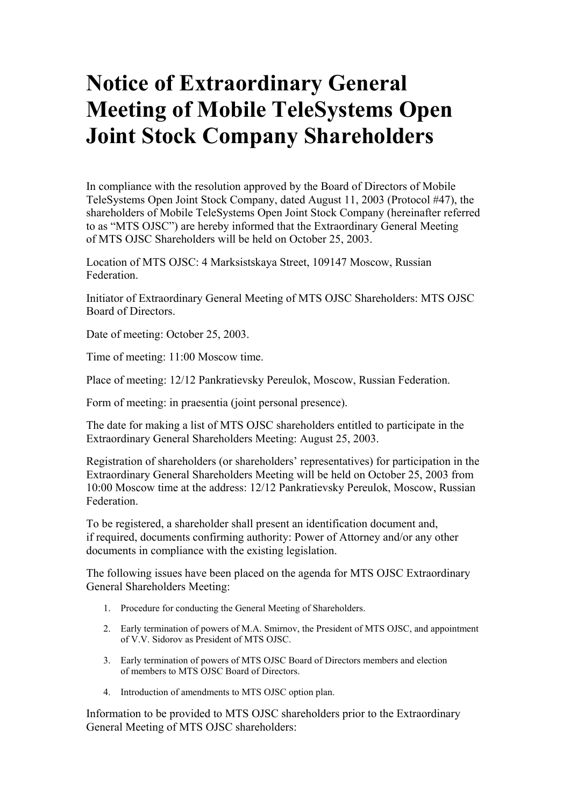## **Notice of Extraordinary General Meeting of Mobile TeleSystems Open Joint Stock Company Shareholders**

In compliance with the resolution approved by the Board of Directors of Mobile TeleSystems Open Joint Stock Company, dated August 11, 2003 (Protocol #47), the shareholders of Mobile TeleSystems Open Joint Stock Company (hereinafter referred to as "MTS OJSC") are hereby informed that the Extraordinary General Meeting of MTS OJSC Shareholders will be held on October 25, 2003.

Location of MTS OJSC: 4 Marksistskaya Street, 109147 Moscow, Russian Federation.

Initiator of Extraordinary General Meeting of MTS OJSC Shareholders: MTS OJSC Board of Directors.

Date of meeting: October 25, 2003.

Time of meeting: 11:00 Moscow time.

Place of meeting: 12/12 Pankratievsky Pereulok, Moscow, Russian Federation.

Form of meeting: in praesentia (joint personal presence).

The date for making a list of MTS OJSC shareholders entitled to participate in the Extraordinary General Shareholders Meeting: August 25, 2003.

Registration of shareholders (or shareholders' representatives) for participation in the Extraordinary General Shareholders Meeting will be held on October 25, 2003 from 10:00 Moscow time at the address: 12/12 Pankratievsky Pereulok, Moscow, Russian Federation.

To be registered, a shareholder shall present an identification document and, if required, documents confirming authority: Power of Attorney and/or any other documents in compliance with the existing legislation.

The following issues have been placed on the agenda for MTS OJSC Extraordinary General Shareholders Meeting:

- 1. Procedure for conducting the General Meeting of Shareholders.
- 2. Early termination of powers of M.A. Smirnov, the President of MTS OJSC, and appointment of V.V. Sidorov as President of MTS OJSC.
- 3. Early termination of powers of MTS OJSC Board of Directors members and election of members to MTS OJSC Board of Directors.
- 4. Introduction of amendments to MTS OJSC option plan.

Information to be provided to MTS OJSC shareholders prior to the Extraordinary General Meeting of MTS OJSC shareholders: